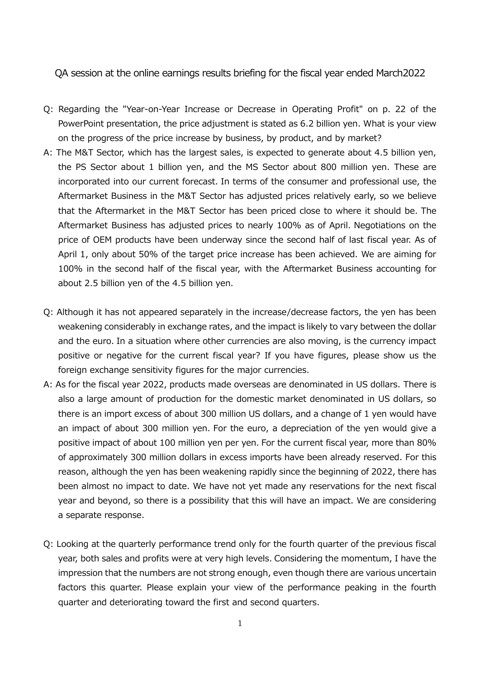QA session at the online earnings results briefing for the fiscal year ended March2022

- Q: Regarding the "Year-on-Year Increase or Decrease in Operating Profit" on p. 22 of the PowerPoint presentation, the price adjustment is stated as 6.2 billion yen. What is your view on the progress of the price increase by business, by product, and by market?
- A: The M&T Sector, which has the largest sales, is expected to generate about 4.5 billion yen, the PS Sector about 1 billion yen, and the MS Sector about 800 million yen. These are incorporated into our current forecast. In terms of the consumer and professional use, the Aftermarket Business in the M&T Sector has adjusted prices relatively early, so we believe that the Aftermarket in the M&T Sector has been priced close to where it should be. The Aftermarket Business has adjusted prices to nearly 100% as of April. Negotiations on the price of OEM products have been underway since the second half of last fiscal year. As of April 1, only about 50% of the target price increase has been achieved. We are aiming for 100% in the second half of the fiscal year, with the Aftermarket Business accounting for about 2.5 billion yen of the 4.5 billion yen.
- Q: Although it has not appeared separately in the increase/decrease factors, the yen has been weakening considerably in exchange rates, and the impact is likely to vary between the dollar and the euro. In a situation where other currencies are also moving, is the currency impact positive or negative for the current fiscal year? If you have figures, please show us the foreign exchange sensitivity figures for the major currencies.
- A: As for the fiscal year 2022, products made overseas are denominated in US dollars. There is also a large amount of production for the domestic market denominated in US dollars, so there is an import excess of about 300 million US dollars, and a change of 1 yen would have an impact of about 300 million yen. For the euro, a depreciation of the yen would give a positive impact of about 100 million yen per yen. For the current fiscal year, more than 80% of approximately 300 million dollars in excess imports have been already reserved. For this reason, although the yen has been weakening rapidly since the beginning of 2022, there has been almost no impact to date. We have not yet made any reservations for the next fiscal year and beyond, so there is a possibility that this will have an impact. We are considering a separate response.
- Q: Looking at the quarterly performance trend only for the fourth quarter of the previous fiscal year, both sales and profits were at very high levels. Considering the momentum, I have the impression that the numbers are not strong enough, even though there are various uncertain factors this quarter. Please explain your view of the performance peaking in the fourth quarter and deteriorating toward the first and second quarters.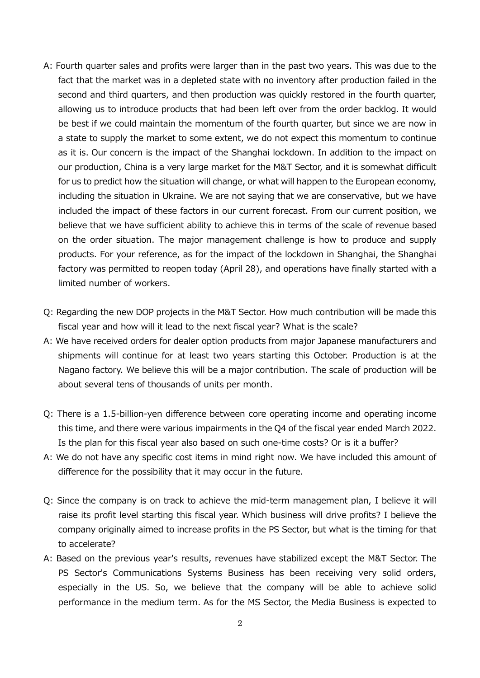- A: Fourth quarter sales and profits were larger than in the past two years. This was due to the fact that the market was in a depleted state with no inventory after production failed in the second and third quarters, and then production was quickly restored in the fourth quarter, allowing us to introduce products that had been left over from the order backlog. It would be best if we could maintain the momentum of the fourth quarter, but since we are now in a state to supply the market to some extent, we do not expect this momentum to continue as it is. Our concern is the impact of the Shanghai lockdown. In addition to the impact on our production, China is a very large market for the M&T Sector, and it is somewhat difficult for us to predict how the situation will change, or what will happen to the European economy, including the situation in Ukraine. We are not saying that we are conservative, but we have included the impact of these factors in our current forecast. From our current position, we believe that we have sufficient ability to achieve this in terms of the scale of revenue based on the order situation. The major management challenge is how to produce and supply products. For your reference, as for the impact of the lockdown in Shanghai, the Shanghai factory was permitted to reopen today (April 28), and operations have finally started with a limited number of workers.
- Q: Regarding the new DOP projects in the M&T Sector. How much contribution will be made this fiscal year and how will it lead to the next fiscal year? What is the scale?
- A: We have received orders for dealer option products from major Japanese manufacturers and shipments will continue for at least two years starting this October. Production is at the Nagano factory. We believe this will be a major contribution. The scale of production will be about several tens of thousands of units per month.
- Q: There is a 1.5-billion-yen difference between core operating income and operating income this time, and there were various impairments in the Q4 of the fiscal year ended March 2022. Is the plan for this fiscal year also based on such one-time costs? Or is it a buffer?
- A: We do not have any specific cost items in mind right now. We have included this amount of difference for the possibility that it may occur in the future.
- Q: Since the company is on track to achieve the mid-term management plan, I believe it will raise its profit level starting this fiscal year. Which business will drive profits? I believe the company originally aimed to increase profits in the PS Sector, but what is the timing for that to accelerate?
- A: Based on the previous year's results, revenues have stabilized except the M&T Sector. The PS Sector's Communications Systems Business has been receiving very solid orders, especially in the US. So, we believe that the company will be able to achieve solid performance in the medium term. As for the MS Sector, the Media Business is expected to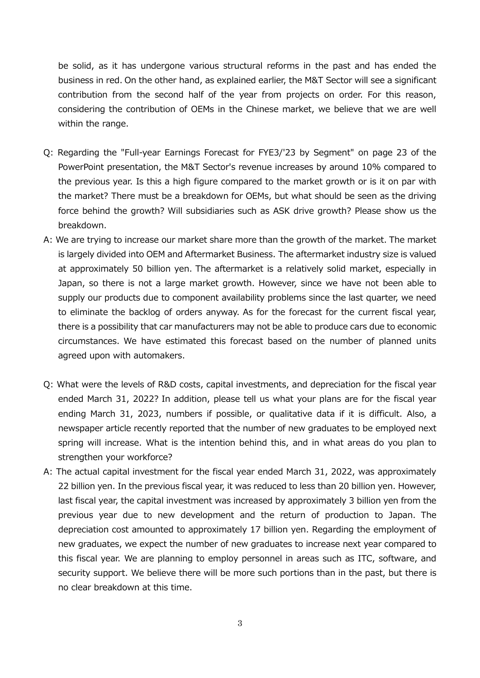be solid, as it has undergone various structural reforms in the past and has ended the business in red. On the other hand, as explained earlier, the M&T Sector will see a significant contribution from the second half of the year from projects on order. For this reason, considering the contribution of OEMs in the Chinese market, we believe that we are well within the range.

- Q: Regarding the "Full-year Earnings Forecast for FYE3/'23 by Segment" on page 23 of the PowerPoint presentation, the M&T Sector's revenue increases by around 10% compared to the previous year. Is this a high figure compared to the market growth or is it on par with the market? There must be a breakdown for OEMs, but what should be seen as the driving force behind the growth? Will subsidiaries such as ASK drive growth? Please show us the breakdown.
- A: We are trying to increase our market share more than the growth of the market. The market is largely divided into OEM and Aftermarket Business. The aftermarket industry size is valued at approximately 50 billion yen. The aftermarket is a relatively solid market, especially in Japan, so there is not a large market growth. However, since we have not been able to supply our products due to component availability problems since the last quarter, we need to eliminate the backlog of orders anyway. As for the forecast for the current fiscal year, there is a possibility that car manufacturers may not be able to produce cars due to economic circumstances. We have estimated this forecast based on the number of planned units agreed upon with automakers.
- Q: What were the levels of R&D costs, capital investments, and depreciation for the fiscal year ended March 31, 2022? In addition, please tell us what your plans are for the fiscal year ending March 31, 2023, numbers if possible, or qualitative data if it is difficult. Also, a newspaper article recently reported that the number of new graduates to be employed next spring will increase. What is the intention behind this, and in what areas do you plan to strengthen your workforce?
- A: The actual capital investment for the fiscal year ended March 31, 2022, was approximately 22 billion yen. In the previous fiscal year, it was reduced to less than 20 billion yen. However, last fiscal year, the capital investment was increased by approximately 3 billion yen from the previous year due to new development and the return of production to Japan. The depreciation cost amounted to approximately 17 billion yen. Regarding the employment of new graduates, we expect the number of new graduates to increase next year compared to this fiscal year. We are planning to employ personnel in areas such as ITC, software, and security support. We believe there will be more such portions than in the past, but there is no clear breakdown at this time.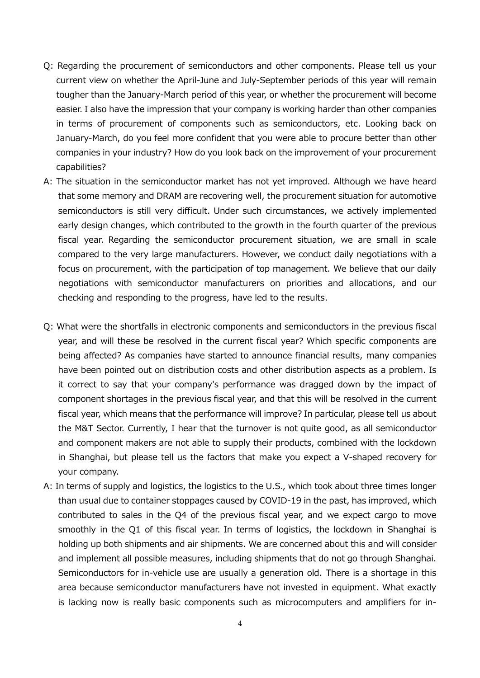- Q: Regarding the procurement of semiconductors and other components. Please tell us your current view on whether the April-June and July-September periods of this year will remain tougher than the January-March period of this year, or whether the procurement will become easier. I also have the impression that your company is working harder than other companies in terms of procurement of components such as semiconductors, etc. Looking back on January-March, do you feel more confident that you were able to procure better than other companies in your industry? How do you look back on the improvement of your procurement capabilities?
- A: The situation in the semiconductor market has not yet improved. Although we have heard that some memory and DRAM are recovering well, the procurement situation for automotive semiconductors is still very difficult. Under such circumstances, we actively implemented early design changes, which contributed to the growth in the fourth quarter of the previous fiscal year. Regarding the semiconductor procurement situation, we are small in scale compared to the very large manufacturers. However, we conduct daily negotiations with a focus on procurement, with the participation of top management. We believe that our daily negotiations with semiconductor manufacturers on priorities and allocations, and our checking and responding to the progress, have led to the results.
- Q: What were the shortfalls in electronic components and semiconductors in the previous fiscal year, and will these be resolved in the current fiscal year? Which specific components are being affected? As companies have started to announce financial results, many companies have been pointed out on distribution costs and other distribution aspects as a problem. Is it correct to say that your company's performance was dragged down by the impact of component shortages in the previous fiscal year, and that this will be resolved in the current fiscal year, which means that the performance will improve? In particular, please tell us about the M&T Sector. Currently, I hear that the turnover is not quite good, as all semiconductor and component makers are not able to supply their products, combined with the lockdown in Shanghai, but please tell us the factors that make you expect a V-shaped recovery for your company.
- A: In terms of supply and logistics, the logistics to the U.S., which took about three times longer than usual due to container stoppages caused by COVID-19 in the past, has improved, which contributed to sales in the Q4 of the previous fiscal year, and we expect cargo to move smoothly in the Q1 of this fiscal year. In terms of logistics, the lockdown in Shanghai is holding up both shipments and air shipments. We are concerned about this and will consider and implement all possible measures, including shipments that do not go through Shanghai. Semiconductors for in-vehicle use are usually a generation old. There is a shortage in this area because semiconductor manufacturers have not invested in equipment. What exactly is lacking now is really basic components such as microcomputers and amplifiers for in-